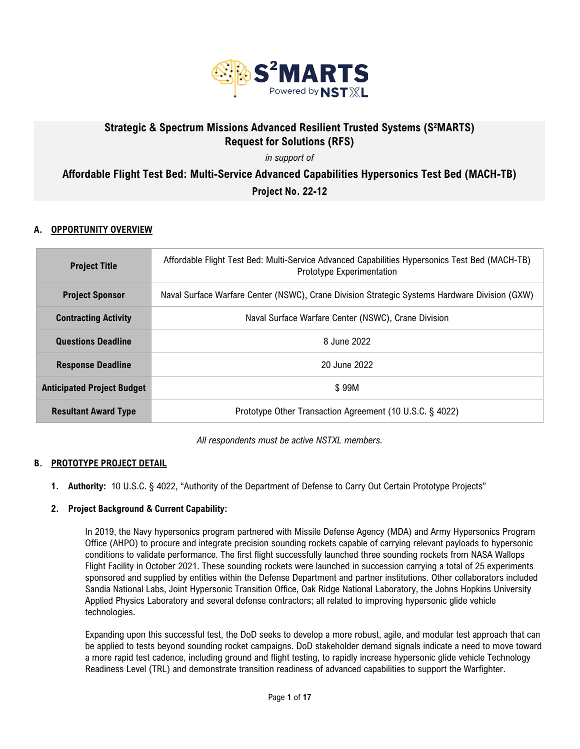

# Strategic & Spectrum Missions Advanced Resilient Trusted Systems (S<sup>2</sup>MARTS) **Request for Solutions (RFS)**

*in support of*

**Affordable Flight Test Bed: Multi-Service Advanced Capabilities Hypersonics Test Bed (MACH-TB)** 

**Project No. 22-12**

# **A. OPPORTUNITY OVERVIEW**

| <b>Project Title</b>              | Affordable Flight Test Bed: Multi-Service Advanced Capabilities Hypersonics Test Bed (MACH-TB)<br>Prototype Experimentation |  |
|-----------------------------------|-----------------------------------------------------------------------------------------------------------------------------|--|
| <b>Project Sponsor</b>            | Naval Surface Warfare Center (NSWC), Crane Division Strategic Systems Hardware Division (GXW)                               |  |
| <b>Contracting Activity</b>       | Naval Surface Warfare Center (NSWC), Crane Division                                                                         |  |
| <b>Questions Deadline</b>         | 8 June 2022                                                                                                                 |  |
| <b>Response Deadline</b>          | 20 June 2022                                                                                                                |  |
| <b>Anticipated Project Budget</b> | \$99M                                                                                                                       |  |
| <b>Resultant Award Type</b>       | Prototype Other Transaction Agreement (10 U.S.C. § 4022)                                                                    |  |

*All respondents must be active NSTXL members.*

## **B. PROTOTYPE PROJECT DETAIL**

**1. Authority:** 10 U.S.C. § 4022, "Authority of the Department of Defense to Carry Out Certain Prototype Projects"

## **2. Project Background & Current Capability:**

In 2019, the Navy hypersonics program partnered with Missile Defense Agency (MDA) and Army Hypersonics Program Office (AHPO) to procure and integrate precision sounding rockets capable of carrying relevant payloads to hypersonic conditions to validate performance. The first flight successfully launched three sounding rockets from NASA Wallops Flight Facility in October 2021. These sounding rockets were launched in succession carrying a total of 25 experiments sponsored and supplied by entities within the Defense Department and partner institutions. Other collaborators included Sandia National Labs, Joint Hypersonic Transition Office, Oak Ridge National Laboratory, the Johns Hopkins University Applied Physics Laboratory and several defense contractors; all related to improving hypersonic glide vehicle technologies.

Expanding upon this successful test, the DoD seeks to develop a more robust, agile, and modular test approach that can be applied to tests beyond sounding rocket campaigns. DoD stakeholder demand signals indicate a need to move toward a more rapid test cadence, including ground and flight testing, to rapidly increase hypersonic glide vehicle Technology Readiness Level (TRL) and demonstrate transition readiness of advanced capabilities to support the Warfighter.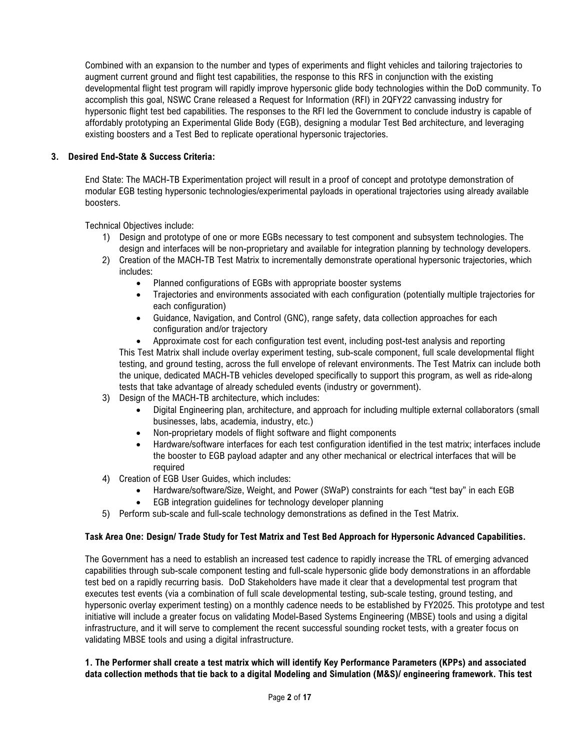Combined with an expansion to the number and types of experiments and flight vehicles and tailoring trajectories to augment current ground and flight test capabilities, the response to this RFS in conjunction with the existing developmental flight test program will rapidly improve hypersonic glide body technologies within the DoD community. To accomplish this goal, NSWC Crane released a Request for Information (RFI) in 2QFY22 canvassing industry for hypersonic flight test bed capabilities. The responses to the RFI led the Government to conclude industry is capable of affordably prototyping an Experimental Glide Body (EGB), designing a modular Test Bed architecture, and leveraging existing boosters and a Test Bed to replicate operational hypersonic trajectories.

## **3. Desired End-State & Success Criteria:**

End State: The MACH-TB Experimentation project will result in a proof of concept and prototype demonstration of modular EGB testing hypersonic technologies/experimental payloads in operational trajectories using already available boosters.

Technical Objectives include:

- 1) Design and prototype of one or more EGBs necessary to test component and subsystem technologies. The design and interfaces will be non-proprietary and available for integration planning by technology developers.
- 2) Creation of the MACH-TB Test Matrix to incrementally demonstrate operational hypersonic trajectories, which includes:
	- Planned configurations of EGBs with appropriate booster systems
	- Trajectories and environments associated with each configuration (potentially multiple trajectories for each configuration)
	- Guidance, Navigation, and Control (GNC), range safety, data collection approaches for each configuration and/or trajectory
	- Approximate cost for each configuration test event, including post-test analysis and reporting This Test Matrix shall include overlay experiment testing, sub-scale component, full scale developmental flight testing, and ground testing, across the full envelope of relevant environments. The Test Matrix can include both the unique, dedicated MACH-TB vehicles developed specifically to support this program, as well as ride-along tests that take advantage of already scheduled events (industry or government).
- 3) Design of the MACH-TB architecture, which includes:
	- Digital Engineering plan, architecture, and approach for including multiple external collaborators (small businesses, labs, academia, industry, etc.)
	- Non-proprietary models of flight software and flight components
	- Hardware/software interfaces for each test configuration identified in the test matrix; interfaces include the booster to EGB payload adapter and any other mechanical or electrical interfaces that will be required
- 4) Creation of EGB User Guides, which includes:
	- Hardware/software/Size, Weight, and Power (SWaP) constraints for each "test bay" in each EGB
	- EGB integration guidelines for technology developer planning
- 5) Perform sub-scale and full-scale technology demonstrations as defined in the Test Matrix.

## **Task Area One: Design/ Trade Study for Test Matrix and Test Bed Approach for Hypersonic Advanced Capabilities.**

The Government has a need to establish an increased test cadence to rapidly increase the TRL of emerging advanced capabilities through sub-scale component testing and full-scale hypersonic glide body demonstrations in an affordable test bed on a rapidly recurring basis. DoD Stakeholders have made it clear that a developmental test program that executes test events (via a combination of full scale developmental testing, sub-scale testing, ground testing, and hypersonic overlay experiment testing) on a monthly cadence needs to be established by FY2025. This prototype and test initiative will include a greater focus on validating Model-Based Systems Engineering (MBSE) tools and using a digital infrastructure, and it will serve to complement the recent successful sounding rocket tests, with a greater focus on validating MBSE tools and using a digital infrastructure.

### **1. The Performer shall create a test matrix which will identify Key Performance Parameters (KPPs) and associated data collection methods that tie back to a digital Modeling and Simulation (M&S)/ engineering framework. This test**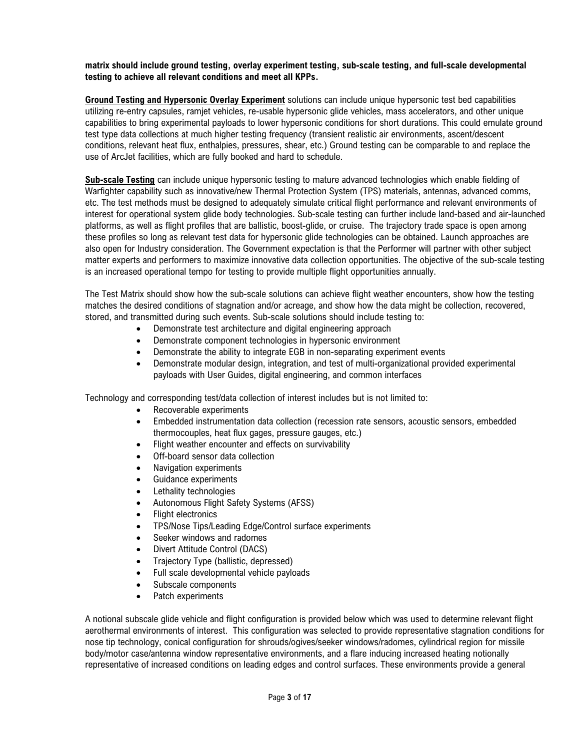#### **matrix should include ground testing, overlay experiment testing, sub-scale testing, and full-scale developmental testing to achieve all relevant conditions and meet all KPPs.**

**Ground Testing and Hypersonic Overlay Experiment** solutions can include unique hypersonic test bed capabilities utilizing re-entry capsules, ramjet vehicles, re-usable hypersonic glide vehicles, mass accelerators, and other unique capabilities to bring experimental payloads to lower hypersonic conditions for short durations. This could emulate ground test type data collections at much higher testing frequency (transient realistic air environments, ascent/descent conditions, relevant heat flux, enthalpies, pressures, shear, etc.) Ground testing can be comparable to and replace the use of ArcJet facilities, which are fully booked and hard to schedule.

**Sub-scale Testing** can include unique hypersonic testing to mature advanced technologies which enable fielding of Warfighter capability such as innovative/new Thermal Protection System (TPS) materials, antennas, advanced comms, etc. The test methods must be designed to adequately simulate critical flight performance and relevant environments of interest for operational system glide body technologies. Sub-scale testing can further include land-based and air-launched platforms, as well as flight profiles that are ballistic, boost-glide, or cruise. The trajectory trade space is open among these profiles so long as relevant test data for hypersonic glide technologies can be obtained. Launch approaches are also open for Industry consideration. The Government expectation is that the Performer will partner with other subject matter experts and performers to maximize innovative data collection opportunities. The objective of the sub-scale testing is an increased operational tempo for testing to provide multiple flight opportunities annually.

The Test Matrix should show how the sub-scale solutions can achieve flight weather encounters, show how the testing matches the desired conditions of stagnation and/or acreage, and show how the data might be collection, recovered, stored, and transmitted during such events. Sub-scale solutions should include testing to:

- Demonstrate test architecture and digital engineering approach
- Demonstrate component technologies in hypersonic environment
- Demonstrate the ability to integrate EGB in non-separating experiment events
- Demonstrate modular design, integration, and test of multi-organizational provided experimental payloads with User Guides, digital engineering, and common interfaces

Technology and corresponding test/data collection of interest includes but is not limited to:

- Recoverable experiments
- Embedded instrumentation data collection (recession rate sensors, acoustic sensors, embedded thermocouples, heat flux gages, pressure gauges, etc.)
- Flight weather encounter and effects on survivability
- Off-board sensor data collection
- Navigation experiments
- Guidance experiments
- Lethality technologies
- Autonomous Flight Safety Systems (AFSS)
- **Flight electronics**
- TPS/Nose Tips/Leading Edge/Control surface experiments
- Seeker windows and radomes
- Divert Attitude Control (DACS)
- Trajectory Type (ballistic, depressed)
- Full scale developmental vehicle payloads
- Subscale components
- Patch experiments

A notional subscale glide vehicle and flight configuration is provided below which was used to determine relevant flight aerothermal environments of interest. This configuration was selected to provide representative stagnation conditions for nose tip technology, conical configuration for shrouds/ogives/seeker windows/radomes, cylindrical region for missile body/motor case/antenna window representative environments, and a flare inducing increased heating notionally representative of increased conditions on leading edges and control surfaces. These environments provide a general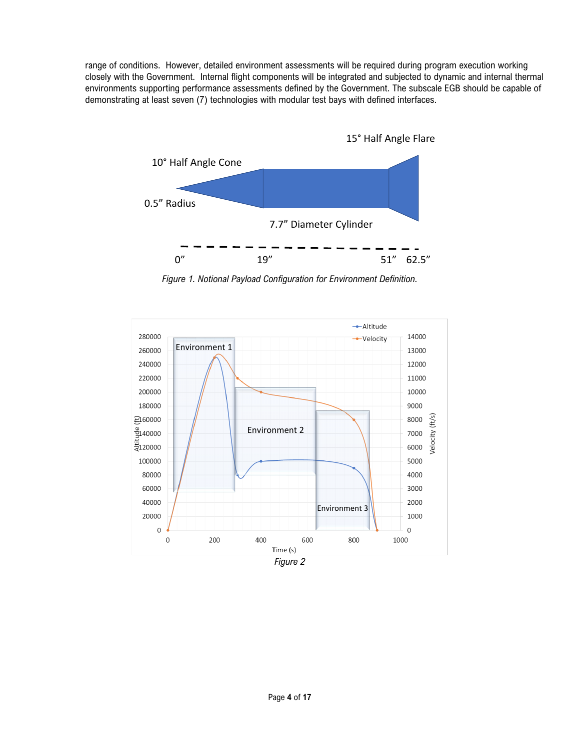range of conditions. However, detailed environment assessments will be required during program execution working closely with the Government. Internal flight components will be integrated and subjected to dynamic and internal thermal environments supporting performance assessments defined by the Government. The subscale EGB should be capable of demonstrating at least seven (7) technologies with modular test bays with defined interfaces.



*Figure 1. Notional Payload Configuration for Environment Definition.*

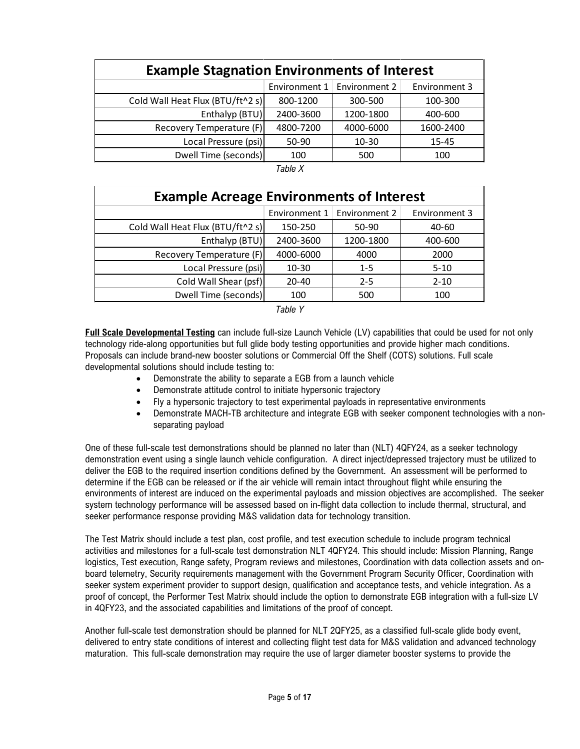| <b>Example Stagnation Environments of Interest</b> |           |                               |               |
|----------------------------------------------------|-----------|-------------------------------|---------------|
|                                                    |           | Environment 1   Environment 2 | Environment 3 |
| Cold Wall Heat Flux (BTU/ft^2 s)                   | 800-1200  | 300-500                       | 100-300       |
| Enthalyp (BTU)                                     | 2400-3600 | 1200-1800                     | 400-600       |
| Recovery Temperature (F)                           | 4800-7200 | 4000-6000                     | 1600-2400     |
| Local Pressure (psi)                               | 50-90     | $10 - 30$                     | $15 - 45$     |
| Dwell Time (seconds)                               | 100       | 500                           | 100           |

*Table X*

| <b>Example Acreage Environments of Interest</b> |               |               |               |  |
|-------------------------------------------------|---------------|---------------|---------------|--|
|                                                 | Environment 1 | Environment 2 | Environment 3 |  |
| Cold Wall Heat Flux (BTU/ft^2 s)                | 150-250       | 50-90         | 40-60         |  |
| Enthalyp (BTU)                                  | 2400-3600     | 1200-1800     | 400-600       |  |
| Recovery Temperature (F)                        | 4000-6000     | 4000          | 2000          |  |
| Local Pressure (psi)                            | $10 - 30$     | $1 - 5$       | $5 - 10$      |  |
| Cold Wall Shear (psf)                           | 20-40         | $2 - 5$       | $2 - 10$      |  |
| Dwell Time (seconds)                            | 100           | 500           | 100           |  |

*Table Y*

**Full Scale Developmental Testing** can include full-size Launch Vehicle (LV) capabilities that could be used for not only technology ride-along opportunities but full glide body testing opportunities and provide higher mach conditions. Proposals can include brand-new booster solutions or Commercial Off the Shelf (COTS) solutions. Full scale developmental solutions should include testing to:

- Demonstrate the ability to separate a EGB from a launch vehicle
- Demonstrate attitude control to initiate hypersonic trajectory
- Fly a hypersonic trajectory to test experimental payloads in representative environments
- Demonstrate MACH-TB architecture and integrate EGB with seeker component technologies with a nonseparating payload

One of these full-scale test demonstrations should be planned no later than (NLT) 4QFY24, as a seeker technology demonstration event using a single launch vehicle configuration. A direct inject/depressed trajectory must be utilized to deliver the EGB to the required insertion conditions defined by the Government. An assessment will be performed to determine if the EGB can be released or if the air vehicle will remain intact throughout flight while ensuring the environments of interest are induced on the experimental payloads and mission objectives are accomplished. The seeker system technology performance will be assessed based on in-flight data collection to include thermal, structural, and seeker performance response providing M&S validation data for technology transition.

The Test Matrix should include a test plan, cost profile, and test execution schedule to include program technical activities and milestones for a full-scale test demonstration NLT 4QFY24. This should include: Mission Planning, Range logistics, Test execution, Range safety, Program reviews and milestones, Coordination with data collection assets and onboard telemetry, Security requirements management with the Government Program Security Officer, Coordination with seeker system experiment provider to support design, qualification and acceptance tests, and vehicle integration. As a proof of concept, the Performer Test Matrix should include the option to demonstrate EGB integration with a full-size LV in 4QFY23, and the associated capabilities and limitations of the proof of concept.

Another full-scale test demonstration should be planned for NLT 2QFY25, as a classified full-scale glide body event, delivered to entry state conditions of interest and collecting flight test data for M&S validation and advanced technology maturation. This full-scale demonstration may require the use of larger diameter booster systems to provide the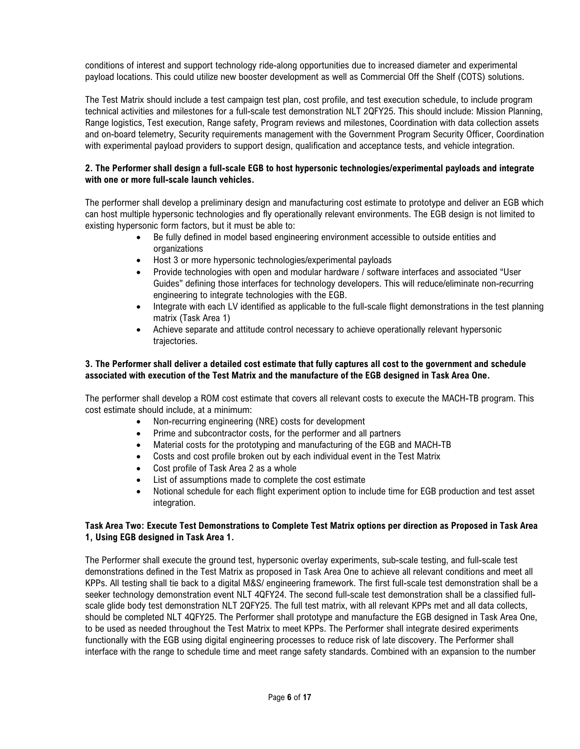conditions of interest and support technology ride-along opportunities due to increased diameter and experimental payload locations. This could utilize new booster development as well as Commercial Off the Shelf (COTS) solutions.

The Test Matrix should include a test campaign test plan, cost profile, and test execution schedule, to include program technical activities and milestones for a full-scale test demonstration NLT 2QFY25. This should include: Mission Planning, Range logistics, Test execution, Range safety, Program reviews and milestones, Coordination with data collection assets and on-board telemetry, Security requirements management with the Government Program Security Officer, Coordination with experimental payload providers to support design, qualification and acceptance tests, and vehicle integration.

### **2. The Performer shall design a full-scale EGB to host hypersonic technologies/experimental payloads and integrate with one or more full-scale launch vehicles.**

The performer shall develop a preliminary design and manufacturing cost estimate to prototype and deliver an EGB which can host multiple hypersonic technologies and fly operationally relevant environments. The EGB design is not limited to existing hypersonic form factors, but it must be able to:

- Be fully defined in model based engineering environment accessible to outside entities and organizations
- Host 3 or more hypersonic technologies/experimental payloads
- Provide technologies with open and modular hardware / software interfaces and associated "User Guides" defining those interfaces for technology developers. This will reduce/eliminate non-recurring engineering to integrate technologies with the EGB.
- Integrate with each LV identified as applicable to the full-scale flight demonstrations in the test planning matrix (Task Area 1)
- Achieve separate and attitude control necessary to achieve operationally relevant hypersonic trajectories.

### **3. The Performer shall deliver a detailed cost estimate that fully captures all cost to the government and schedule associated with execution of the Test Matrix and the manufacture of the EGB designed in Task Area One.**

The performer shall develop a ROM cost estimate that covers all relevant costs to execute the MACH-TB program. This cost estimate should include, at a minimum:

- Non-recurring engineering (NRE) costs for development
- Prime and subcontractor costs, for the performer and all partners
- Material costs for the prototyping and manufacturing of the EGB and MACH-TB
- Costs and cost profile broken out by each individual event in the Test Matrix
- Cost profile of Task Area 2 as a whole
- List of assumptions made to complete the cost estimate
- Notional schedule for each flight experiment option to include time for EGB production and test asset integration.

## **Task Area Two: Execute Test Demonstrations to Complete Test Matrix options per direction as Proposed in Task Area 1, Using EGB designed in Task Area 1.**

The Performer shall execute the ground test, hypersonic overlay experiments, sub-scale testing, and full-scale test demonstrations defined in the Test Matrix as proposed in Task Area One to achieve all relevant conditions and meet all KPPs. All testing shall tie back to a digital M&S/ engineering framework. The first full-scale test demonstration shall be a seeker technology demonstration event NLT 4QFY24. The second full-scale test demonstration shall be a classified fullscale glide body test demonstration NLT 2QFY25. The full test matrix, with all relevant KPPs met and all data collects, should be completed NLT 4QFY25. The Performer shall prototype and manufacture the EGB designed in Task Area One, to be used as needed throughout the Test Matrix to meet KPPs. The Performer shall integrate desired experiments functionally with the EGB using digital engineering processes to reduce risk of late discovery. The Performer shall interface with the range to schedule time and meet range safety standards. Combined with an expansion to the number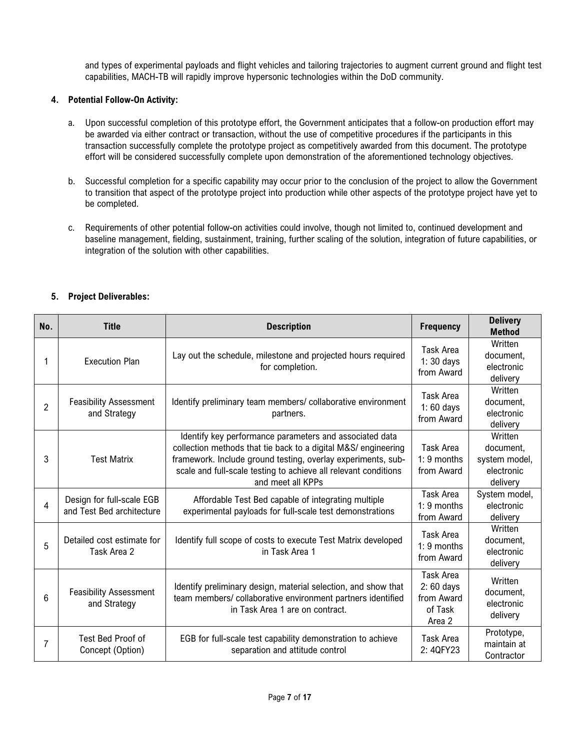and types of experimental payloads and flight vehicles and tailoring trajectories to augment current ground and flight test capabilities, MACH-TB will rapidly improve hypersonic technologies within the DoD community.

## **4. Potential Follow-On Activity:**

- a. Upon successful completion of this prototype effort, the Government anticipates that a follow-on production effort may be awarded via either contract or transaction, without the use of competitive procedures if the participants in this transaction successfully complete the prototype project as competitively awarded from this document. The prototype effort will be considered successfully complete upon demonstration of the aforementioned technology objectives.
- b. Successful completion for a specific capability may occur prior to the conclusion of the project to allow the Government to transition that aspect of the prototype project into production while other aspects of the prototype project have yet to be completed.
- c. Requirements of other potential follow-on activities could involve, though not limited to, continued development and baseline management, fielding, sustainment, training, further scaling of the solution, integration of future capabilities, or integration of the solution with other capabilities.

| No.            | <b>Title</b>                                           | <b>Description</b>                                                                                                                                                                                                                                                                | <b>Frequency</b>                                            | <b>Delivery</b><br><b>Method</b>                                |
|----------------|--------------------------------------------------------|-----------------------------------------------------------------------------------------------------------------------------------------------------------------------------------------------------------------------------------------------------------------------------------|-------------------------------------------------------------|-----------------------------------------------------------------|
| 1              | <b>Execution Plan</b>                                  | Lay out the schedule, milestone and projected hours required<br>for completion.                                                                                                                                                                                                   | Task Area<br>1:30 days<br>from Award                        | Written<br>document,<br>electronic<br>delivery                  |
| $\overline{2}$ | <b>Feasibility Assessment</b><br>and Strategy          | Identify preliminary team members/ collaborative environment<br>partners.                                                                                                                                                                                                         | <b>Task Area</b><br>1:60 days<br>from Award                 | Written<br>document,<br>electronic<br>delivery                  |
| 3              | <b>Test Matrix</b>                                     | Identify key performance parameters and associated data<br>collection methods that tie back to a digital M&S/ engineering<br>framework. Include ground testing, overlay experiments, sub-<br>scale and full-scale testing to achieve all relevant conditions<br>and meet all KPPs | Task Area<br>$1:9$ months<br>from Award                     | Written<br>document,<br>system model,<br>electronic<br>delivery |
| $\overline{4}$ | Design for full-scale EGB<br>and Test Bed architecture | Affordable Test Bed capable of integrating multiple<br>experimental payloads for full-scale test demonstrations                                                                                                                                                                   | Task Area<br>1: 9 months<br>from Award                      | System model,<br>electronic<br>delivery                         |
| 5              | Detailed cost estimate for<br>Task Area 2              | Identify full scope of costs to execute Test Matrix developed<br>in Task Area 1                                                                                                                                                                                                   | <b>Task Area</b><br>1: 9 months<br>from Award               | Written<br>document,<br>electronic<br>delivery                  |
| 6              | <b>Feasibility Assessment</b><br>and Strategy          | Identify preliminary design, material selection, and show that<br>team members/ collaborative environment partners identified<br>in Task Area 1 are on contract.                                                                                                                  | Task Area<br>$2:60$ days<br>from Award<br>of Task<br>Area 2 | Written<br>document,<br>electronic<br>delivery                  |
| $\overline{7}$ | Test Bed Proof of<br>Concept (Option)                  | EGB for full-scale test capability demonstration to achieve<br>separation and attitude control                                                                                                                                                                                    | Task Area<br>2: 4QFY23                                      | Prototype,<br>maintain at<br>Contractor                         |

# **5. Project Deliverables:**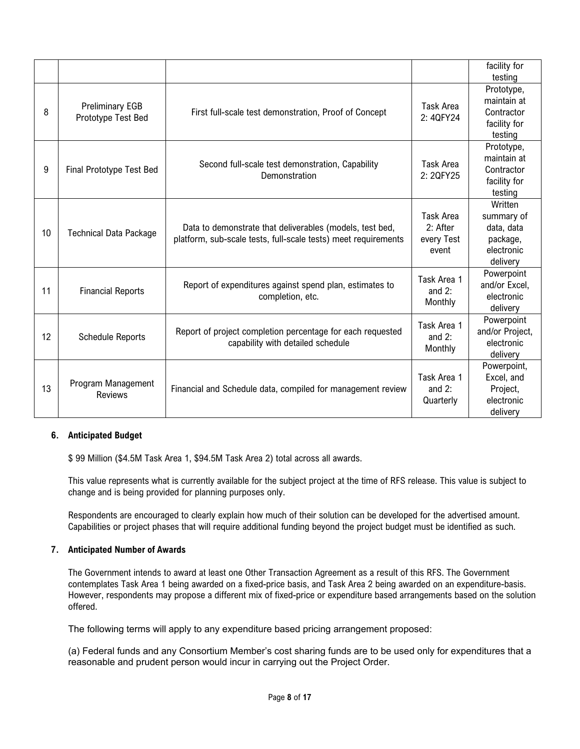|    |                                              |                                                                                                                            |                                                | facility for<br>testing                                                   |
|----|----------------------------------------------|----------------------------------------------------------------------------------------------------------------------------|------------------------------------------------|---------------------------------------------------------------------------|
| 8  | <b>Preliminary EGB</b><br>Prototype Test Bed | First full-scale test demonstration, Proof of Concept                                                                      | <b>Task Area</b><br>2: 4QFY24                  | Prototype,<br>maintain at<br>Contractor<br>facility for<br>testing        |
| 9  | Final Prototype Test Bed                     | Second full-scale test demonstration, Capability<br>Demonstration                                                          | Task Area<br>2: 2QFY25                         | Prototype,<br>maintain at<br>Contractor<br>facility for<br>testing        |
| 10 | <b>Technical Data Package</b>                | Data to demonstrate that deliverables (models, test bed,<br>platform, sub-scale tests, full-scale tests) meet requirements | Task Area<br>$2:$ After<br>every Test<br>event | Written<br>summary of<br>data, data<br>package,<br>electronic<br>delivery |
| 11 | <b>Financial Reports</b>                     | Report of expenditures against spend plan, estimates to<br>completion, etc.                                                | Task Area 1<br>and $2$ :<br>Monthly            | Powerpoint<br>and/or Excel,<br>electronic<br>delivery                     |
| 12 | <b>Schedule Reports</b>                      | Report of project completion percentage for each requested<br>capability with detailed schedule                            | Task Area 1<br>and $2$ :<br>Monthly            | Powerpoint<br>and/or Project,<br>electronic<br>delivery                   |
| 13 | Program Management<br><b>Reviews</b>         | Financial and Schedule data, compiled for management review                                                                | Task Area 1<br>and $2$ :<br>Quarterly          | Powerpoint,<br>Excel, and<br>Project,<br>electronic<br>delivery           |

## **6. Anticipated Budget**

\$ 99 Million (\$4.5M Task Area 1, \$94.5M Task Area 2) total across all awards.

This value represents what is currently available for the subject project at the time of RFS release. This value is subject to change and is being provided for planning purposes only.

Respondents are encouraged to clearly explain how much of their solution can be developed for the advertised amount. Capabilities or project phases that will require additional funding beyond the project budget must be identified as such.

#### **7. Anticipated Number of Awards**

The Government intends to award at least one Other Transaction Agreement as a result of this RFS. The Government contemplates Task Area 1 being awarded on a fixed-price basis, and Task Area 2 being awarded on an expenditure-basis. However, respondents may propose a different mix of fixed-price or expenditure based arrangements based on the solution offered.

The following terms will apply to any expenditure based pricing arrangement proposed:

(a) Federal funds and any Consortium Member's cost sharing funds are to be used only for expenditures that a reasonable and prudent person would incur in carrying out the Project Order.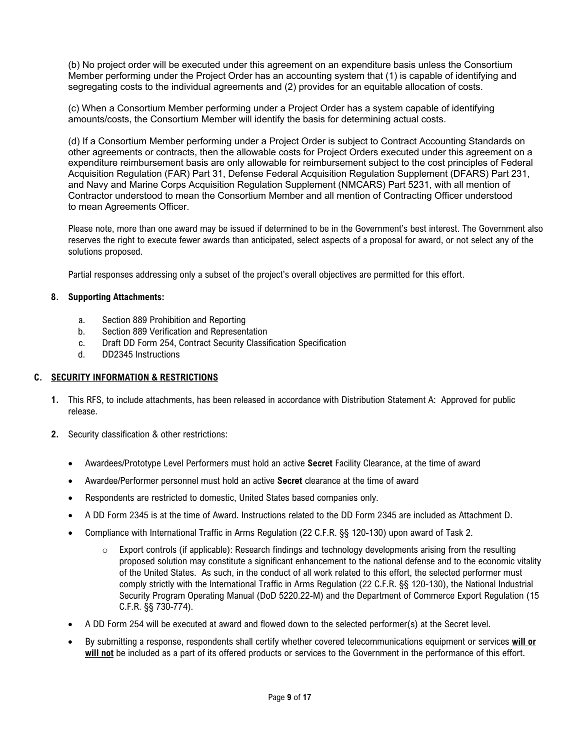(b) No project order will be executed under this agreement on an expenditure basis unless the Consortium Member performing under the Project Order has an accounting system that (1) is capable of identifying and segregating costs to the individual agreements and (2) provides for an equitable allocation of costs.

(c) When a Consortium Member performing under a Project Order has a system capable of identifying amounts/costs, the Consortium Member will identify the basis for determining actual costs.

(d) If a Consortium Member performing under a Project Order is subject to Contract Accounting Standards on other agreements or contracts, then the allowable costs for Project Orders executed under this agreement on a expenditure reimbursement basis are only allowable for reimbursement subject to the cost principles of Federal Acquisition Regulation (FAR) Part 31, Defense Federal Acquisition Regulation Supplement (DFARS) Part 231, and Navy and Marine Corps Acquisition Regulation Supplement (NMCARS) Part 5231, with all mention of Contractor understood to mean the Consortium Member and all mention of Contracting Officer understood to mean Agreements Officer.

Please note, more than one award may be issued if determined to be in the Government's best interest. The Government also reserves the right to execute fewer awards than anticipated, select aspects of a proposal for award, or not select any of the solutions proposed.

Partial responses addressing only a subset of the project's overall objectives are permitted for this effort.

### **8. Supporting Attachments:**

- a. Section 889 Prohibition and Reporting
- b. Section 889 Verification and Representation
- c. Draft DD Form 254, Contract Security Classification Specification
- d. DD2345 Instructions

#### **C. SECURITY INFORMATION & RESTRICTIONS**

- **1.** This RFS, to include attachments, has been released in accordance with Distribution Statement A: Approved for public release.
- **2.** Security classification & other restrictions:
	- Awardees/Prototype Level Performers must hold an active **Secret** Facility Clearance, at the time of award
	- Awardee/Performer personnel must hold an active **Secret** clearance at the time of award
	- Respondents are restricted to domestic, United States based companies only.
	- A DD Form 2345 is at the time of Award. Instructions related to the DD Form 2345 are included as Attachment D.
	- Compliance with International Traffic in Arms Regulation (22 C.F.R. §§ 120-130) upon award of Task 2.
		- o Export controls (if applicable): Research findings and technology developments arising from the resulting proposed solution may constitute a significant enhancement to the national defense and to the economic vitality of the United States. As such, in the conduct of all work related to this effort, the selected performer must comply strictly with the International Traffic in Arms Regulation (22 C.F.R. §§ 120-130), the National Industrial Security Program Operating Manual (DoD 5220.22-M) and the Department of Commerce Export Regulation (15 C.F.R. §§ 730-774).
	- A DD Form 254 will be executed at award and flowed down to the selected performer(s) at the Secret level.
	- By submitting a response, respondents shall certify whether covered telecommunications equipment or services **will or will not** be included as a part of its offered products or services to the Government in the performance of this effort.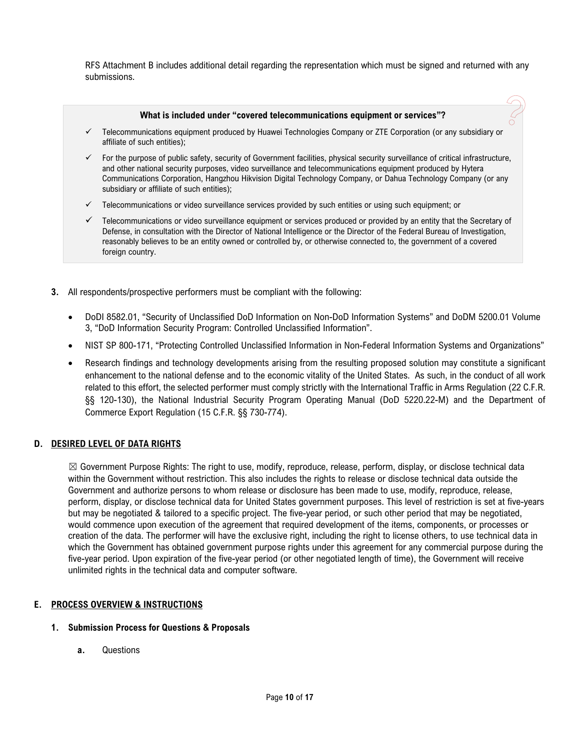RFS Attachment B includes additional detail regarding the representation which must be signed and returned with any submissions.

#### **What is included under "covered telecommunications equipment or services"?**

- Telecommunications equipment produced by Huawei Technologies Company or ZTE Corporation (or any subsidiary or affiliate of such entities);
- $\checkmark$  For the purpose of public safety, security of Government facilities, physical security surveillance of critical infrastructure, and other national security purposes, video surveillance and telecommunications equipment produced by Hytera Communications Corporation, Hangzhou Hikvision Digital Technology Company, or Dahua Technology Company (or any subsidiary or affiliate of such entities);
- $\checkmark$  Telecommunications or video surveillance services provided by such entities or using such equipment; or
- $\checkmark$  Telecommunications or video surveillance equipment or services produced or provided by an entity that the Secretary of Defense, in consultation with the Director of National Intelligence or the Director of the Federal Bureau of Investigation, reasonably believes to be an entity owned or controlled by, or otherwise connected to, the government of a covered foreign country.
- **3.** All respondents/prospective performers must be compliant with the following:
	- DoDI 8582.01, "Security of Unclassified DoD Information on Non-DoD Information Systems" and DoDM 5200.01 Volume 3, "DoD Information Security Program: Controlled Unclassified Information".
	- NIST SP 800-171, "Protecting Controlled Unclassified Information in Non-Federal Information Systems and Organizations"
	- Research findings and technology developments arising from the resulting proposed solution may constitute a significant enhancement to the national defense and to the economic vitality of the United States. As such, in the conduct of all work related to this effort, the selected performer must comply strictly with the International Traffic in Arms Regulation (22 C.F.R. §§ 120-130), the National Industrial Security Program Operating Manual (DoD 5220.22-M) and the Department of Commerce Export Regulation (15 C.F.R. §§ 730-774).

## **D. DESIRED LEVEL OF DATA RIGHTS**

☒ Government Purpose Rights: The right to use, modify, reproduce, release, perform, display, or disclose technical data within the Government without restriction. This also includes the rights to release or disclose technical data outside the Government and authorize persons to whom release or disclosure has been made to use, modify, reproduce, release, perform, display, or disclose technical data for United States government purposes. This level of restriction is set at five-years but may be negotiated & tailored to a specific project. The five-year period, or such other period that may be negotiated, would commence upon execution of the agreement that required development of the items, components, or processes or creation of the data. The performer will have the exclusive right, including the right to license others, to use technical data in which the Government has obtained government purpose rights under this agreement for any commercial purpose during the five-year period. Upon expiration of the five-year period (or other negotiated length of time), the Government will receive unlimited rights in the technical data and computer software.

## **E. PROCESS OVERVIEW & INSTRUCTIONS**

#### **1. Submission Process for Questions & Proposals**

**a.** Questions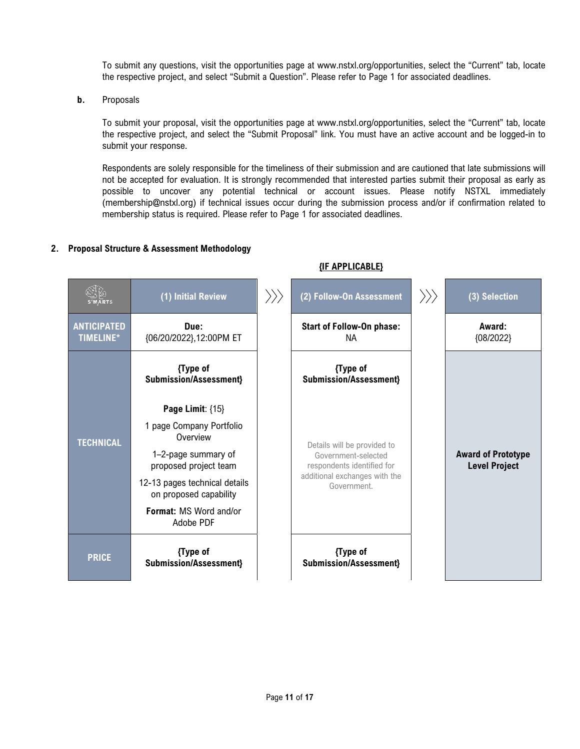To submit any questions, visit the opportunities page at www.nstxl.org/opportunities, select the "Current" tab, locate the respective project, and select "Submit a Question". Please refer to Page 1 for associated deadlines.

**b.** Proposals

To submit your proposal, visit the opportunities page at www.nstxl.org/opportunities, select the "Current" tab, locate the respective project, and select the "Submit Proposal" link. You must have an active account and be logged-in to submit your response.

Respondents are solely responsible for the timeliness of their submission and are cautioned that late submissions will not be accepted for evaluation. It is strongly recommended that interested parties submit their proposal as early as possible to uncover any potential technical or account issues. Please notify NSTXL immediately (membership@nstxl.org) if technical issues occur during the submission process and/or if confirmation related to membership status is required. Please refer to Page 1 for associated deadlines.

**{IF APPLICABLE}**

### **2. Proposal Structure & Assessment Methodology**

|                                        | (1) Initial Review                                                                                       | $\rangle \rangle \rangle$ | (2) Follow-On Assessment                                                                                                         | $\rangle \rangle$ | (3) Selection                                     |
|----------------------------------------|----------------------------------------------------------------------------------------------------------|---------------------------|----------------------------------------------------------------------------------------------------------------------------------|-------------------|---------------------------------------------------|
| <b>ANTICIPATED</b><br><b>TIMELINE*</b> | Due:<br>{06/20/2022},12:00PM ET                                                                          |                           | <b>Start of Follow-On phase:</b><br>NА                                                                                           |                   | Award:<br>${08/2022}$                             |
|                                        | {Type of<br><b>Submission/Assessment}</b>                                                                |                           | {Type of<br>Submission/Assessment}                                                                                               |                   |                                                   |
| <b>TECHNICAL</b>                       | Page Limit: {15}<br>1 page Company Portfolio<br>Overview<br>1-2-page summary of<br>proposed project team |                           | Details will be provided to<br>Government-selected<br>respondents identified for<br>additional exchanges with the<br>Government. |                   | <b>Award of Prototype</b><br><b>Level Project</b> |
|                                        | 12-13 pages technical details<br>on proposed capability<br>Format: MS Word and/or<br>Adobe PDF           |                           |                                                                                                                                  |                   |                                                   |
| <b>PRICE</b>                           | {Type of<br><b>Submission/Assessment}</b>                                                                |                           | {Type of<br>Submission/Assessment}                                                                                               |                   |                                                   |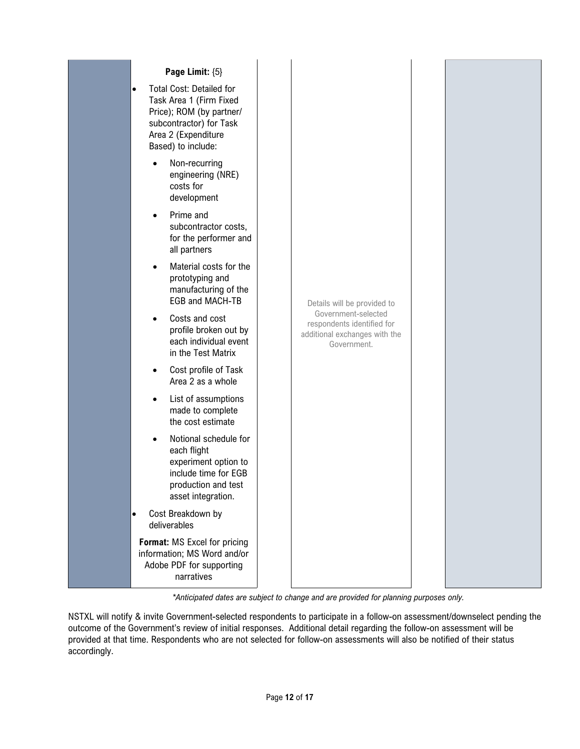

*\*Anticipated dates are subject to change and are provided for planning purposes only.*

NSTXL will notify & invite Government-selected respondents to participate in a follow-on assessment/downselect pending the outcome of the Government's review of initial responses. Additional detail regarding the follow-on assessment will be provided at that time. Respondents who are not selected for follow-on assessments will also be notified of their status accordingly.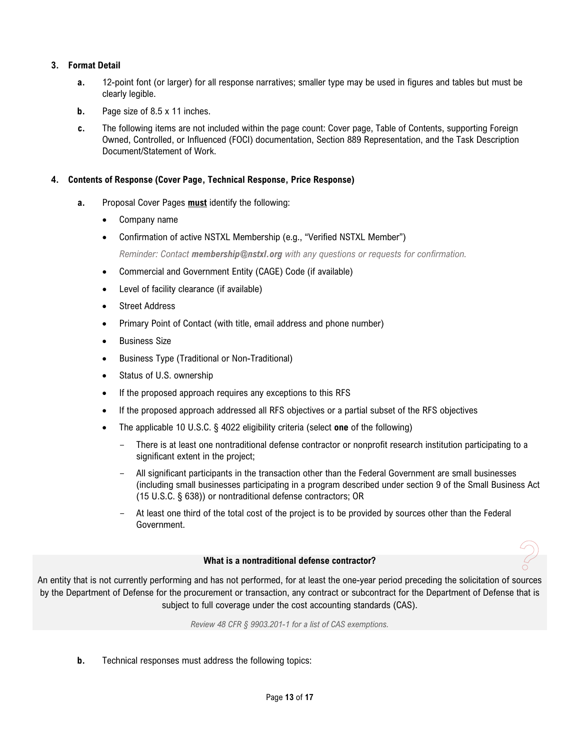# **3. Format Detail**

- **a.** 12-point font (or larger) for all response narratives; smaller type may be used in figures and tables but must be clearly legible.
- **b.** Page size of 8.5 x 11 inches.
- **c.** The following items are not included within the page count: Cover page, Table of Contents, supporting Foreign Owned, Controlled, or Influenced (FOCI) documentation, Section 889 Representation, and the Task Description Document/Statement of Work.

## **4. Contents of Response (Cover Page, Technical Response, Price Response)**

- **a.** Proposal Cover Pages **must** identify the following:
	- Company name
	- Confirmation of active NSTXL Membership (e.g., "Verified NSTXL Member")

*Reminder: Contact membership@nstxl.org with any questions or requests for confirmation.*

- Commercial and Government Entity (CAGE) Code (if available)
- Level of facility clearance (if available)
- Street Address
- Primary Point of Contact (with title, email address and phone number)
- Business Size
- Business Type (Traditional or Non-Traditional)
- Status of U.S. ownership
- If the proposed approach requires any exceptions to this RFS
- If the proposed approach addressed all RFS objectives or a partial subset of the RFS objectives
- The applicable 10 U.S.C. § 4022 eligibility criteria (select **one** of the following)
	- There is at least one nontraditional defense contractor or nonprofit research institution participating to a significant extent in the project;
	- All significant participants in the transaction other than the Federal Government are small businesses (including small businesses participating in a program described under section 9 of the Small Business Act (15 U.S.C. § 638)) or nontraditional defense contractors; OR
	- At least one third of the total cost of the project is to be provided by sources other than the Federal Government.

#### **What is a nontraditional defense contractor?**

An entity that is not currently performing and has not performed, for at least the one-year period preceding the solicitation of sources by the Department of Defense for the procurement or transaction, any contract or subcontract for the Department of Defense that is subject to full coverage under the cost accounting standards (CAS).

*Review 48 CFR § 9903.201-1 for a list of CAS exemptions.*

**b.** Technical responses must address the following topics: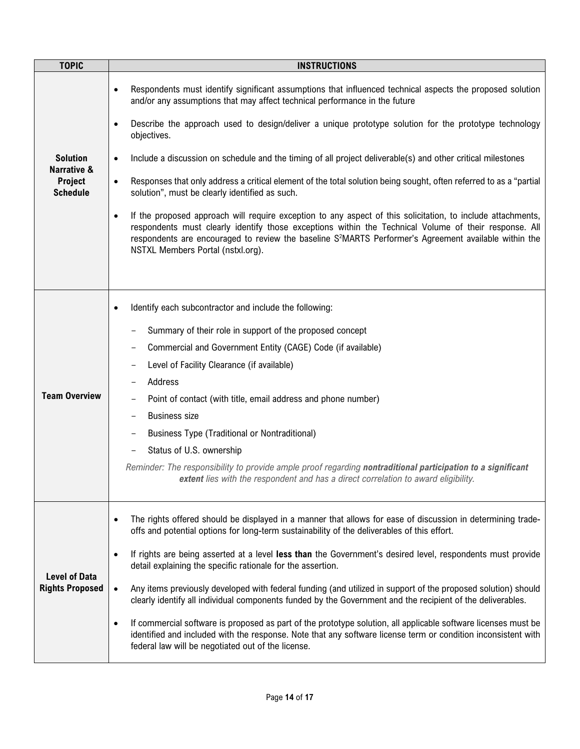| <b>TOPIC</b>                                   | <b>INSTRUCTIONS</b>                                                                                                                                                                                                                                                                                                                                                                         |  |  |
|------------------------------------------------|---------------------------------------------------------------------------------------------------------------------------------------------------------------------------------------------------------------------------------------------------------------------------------------------------------------------------------------------------------------------------------------------|--|--|
|                                                | Respondents must identify significant assumptions that influenced technical aspects the proposed solution<br>$\bullet$<br>and/or any assumptions that may affect technical performance in the future                                                                                                                                                                                        |  |  |
|                                                | Describe the approach used to design/deliver a unique prototype solution for the prototype technology<br>$\bullet$<br>objectives.                                                                                                                                                                                                                                                           |  |  |
| <b>Solution</b><br><b>Narrative &amp;</b>      | Include a discussion on schedule and the timing of all project deliverable(s) and other critical milestones<br>$\bullet$                                                                                                                                                                                                                                                                    |  |  |
| Project<br><b>Schedule</b>                     | Responses that only address a critical element of the total solution being sought, often referred to as a "partial<br>$\bullet$<br>solution", must be clearly identified as such.                                                                                                                                                                                                           |  |  |
|                                                | If the proposed approach will require exception to any aspect of this solicitation, to include attachments,<br>$\bullet$<br>respondents must clearly identify those exceptions within the Technical Volume of their response. All<br>respondents are encouraged to review the baseline S <sup>2</sup> MARTS Performer's Agreement available within the<br>NSTXL Members Portal (nstxl.org). |  |  |
|                                                |                                                                                                                                                                                                                                                                                                                                                                                             |  |  |
|                                                | Identify each subcontractor and include the following:<br>٠                                                                                                                                                                                                                                                                                                                                 |  |  |
|                                                | Summary of their role in support of the proposed concept                                                                                                                                                                                                                                                                                                                                    |  |  |
|                                                | Commercial and Government Entity (CAGE) Code (if available)                                                                                                                                                                                                                                                                                                                                 |  |  |
|                                                | Level of Facility Clearance (if available)                                                                                                                                                                                                                                                                                                                                                  |  |  |
|                                                | Address                                                                                                                                                                                                                                                                                                                                                                                     |  |  |
| <b>Team Overview</b>                           | Point of contact (with title, email address and phone number)                                                                                                                                                                                                                                                                                                                               |  |  |
|                                                | <b>Business size</b>                                                                                                                                                                                                                                                                                                                                                                        |  |  |
|                                                | <b>Business Type (Traditional or Nontraditional)</b>                                                                                                                                                                                                                                                                                                                                        |  |  |
|                                                | Status of U.S. ownership                                                                                                                                                                                                                                                                                                                                                                    |  |  |
|                                                | Reminder: The responsibility to provide ample proof regarding nontraditional participation to a significant<br><b>extent</b> lies with the respondent and has a direct correlation to award eligibility.                                                                                                                                                                                    |  |  |
|                                                | The rights offered should be displayed in a manner that allows for ease of discussion in determining trade-<br>$\bullet$<br>offs and potential options for long-term sustainability of the deliverables of this effort.                                                                                                                                                                     |  |  |
|                                                | If rights are being asserted at a level less than the Government's desired level, respondents must provide<br>$\bullet$<br>detail explaining the specific rationale for the assertion.                                                                                                                                                                                                      |  |  |
| <b>Level of Data</b><br><b>Rights Proposed</b> | Any items previously developed with federal funding (and utilized in support of the proposed solution) should<br>$\bullet$<br>clearly identify all individual components funded by the Government and the recipient of the deliverables.                                                                                                                                                    |  |  |
|                                                | If commercial software is proposed as part of the prototype solution, all applicable software licenses must be<br>$\bullet$<br>identified and included with the response. Note that any software license term or condition inconsistent with<br>federal law will be negotiated out of the license.                                                                                          |  |  |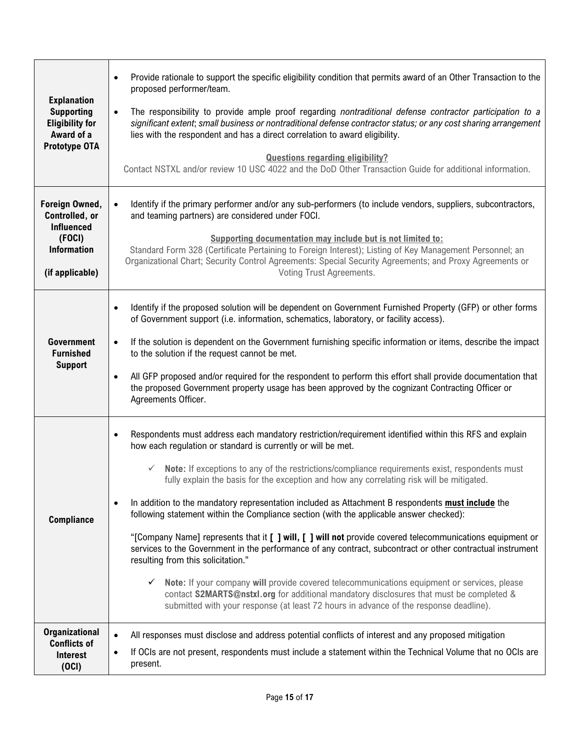|                                                                                                          | Provide rationale to support the specific eligibility condition that permits award of an Other Transaction to the<br>$\bullet$<br>proposed performer/team.                                                                                                                                                                                                                                                                                                                                    |
|----------------------------------------------------------------------------------------------------------|-----------------------------------------------------------------------------------------------------------------------------------------------------------------------------------------------------------------------------------------------------------------------------------------------------------------------------------------------------------------------------------------------------------------------------------------------------------------------------------------------|
| <b>Explanation</b><br><b>Supporting</b><br><b>Eligibility for</b><br>Award of a<br>Prototype OTA         | The responsibility to provide ample proof regarding nontraditional defense contractor participation to a<br>$\bullet$<br>significant extent; small business or nontraditional defense contractor status; or any cost sharing arrangement<br>lies with the respondent and has a direct correlation to award eligibility.                                                                                                                                                                       |
|                                                                                                          | <b>Questions regarding eligibility?</b><br>Contact NSTXL and/or review 10 USC 4022 and the DoD Other Transaction Guide for additional information.                                                                                                                                                                                                                                                                                                                                            |
| Foreign Owned,<br>Controlled, or<br><b>Influenced</b><br>(FOCI)<br><b>Information</b><br>(if applicable) | Identify if the primary performer and/or any sub-performers (to include vendors, suppliers, subcontractors,<br>$\bullet$<br>and teaming partners) are considered under FOCI.<br>Supporting documentation may include but is not limited to:<br>Standard Form 328 (Certificate Pertaining to Foreign Interest); Listing of Key Management Personnel; an<br>Organizational Chart; Security Control Agreements: Special Security Agreements; and Proxy Agreements or<br>Voting Trust Agreements. |
| <b>Government</b><br><b>Furnished</b><br><b>Support</b>                                                  | Identify if the proposed solution will be dependent on Government Furnished Property (GFP) or other forms<br>$\bullet$<br>of Government support (i.e. information, schematics, laboratory, or facility access).<br>If the solution is dependent on the Government furnishing specific information or items, describe the impact<br>$\bullet$<br>to the solution if the request cannot be met.                                                                                                 |
|                                                                                                          | All GFP proposed and/or required for the respondent to perform this effort shall provide documentation that<br>$\bullet$<br>the proposed Government property usage has been approved by the cognizant Contracting Officer or<br>Agreements Officer.                                                                                                                                                                                                                                           |
|                                                                                                          | Respondents must address each mandatory restriction/requirement identified within this RFS and explain<br>$\bullet$<br>how each regulation or standard is currently or will be met.                                                                                                                                                                                                                                                                                                           |
|                                                                                                          | Note: If exceptions to any of the restrictions/compliance requirements exist, respondents must<br>fully explain the basis for the exception and how any correlating risk will be mitigated.                                                                                                                                                                                                                                                                                                   |
| <b>Compliance</b>                                                                                        | In addition to the mandatory representation included as Attachment B respondents must include the<br>$\bullet$<br>following statement within the Compliance section (with the applicable answer checked):                                                                                                                                                                                                                                                                                     |
|                                                                                                          | "[Company Name] represents that it [ ] will, [ ] will not provide covered telecommunications equipment or<br>services to the Government in the performance of any contract, subcontract or other contractual instrument<br>resulting from this solicitation."                                                                                                                                                                                                                                 |
|                                                                                                          | $\checkmark$ Note: If your company will provide covered telecommunications equipment or services, please<br>contact S2MARTS@nstxl.org for additional mandatory disclosures that must be completed &<br>submitted with your response (at least 72 hours in advance of the response deadline).                                                                                                                                                                                                  |
| <b>Organizational</b><br><b>Conflicts of</b><br><b>Interest</b><br>(OCI)                                 | All responses must disclose and address potential conflicts of interest and any proposed mitigation<br>$\bullet$<br>If OCIs are not present, respondents must include a statement within the Technical Volume that no OCIs are<br>$\bullet$<br>present.                                                                                                                                                                                                                                       |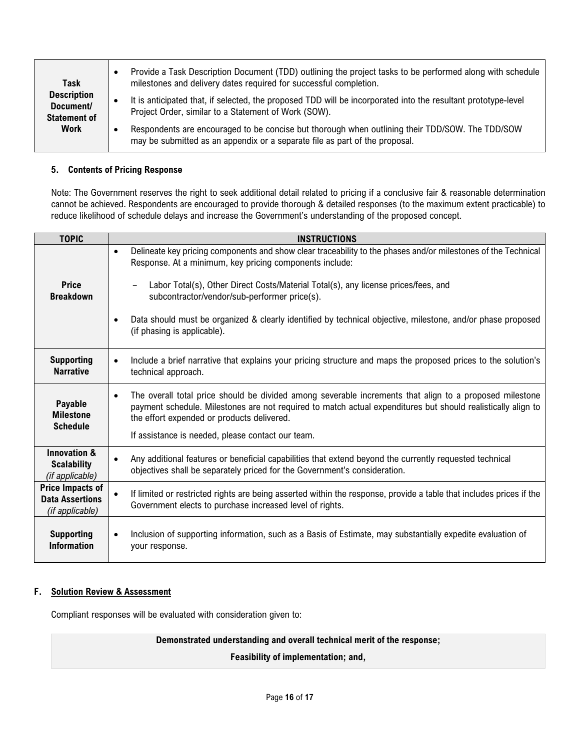| Task                                                   | Provide a Task Description Document (TDD) outlining the project tasks to be performed along with schedule<br>milestones and delivery dates required for successful completion. |
|--------------------------------------------------------|--------------------------------------------------------------------------------------------------------------------------------------------------------------------------------|
| <b>Description</b><br>Document/<br><b>Statement of</b> | It is anticipated that, if selected, the proposed TDD will be incorporated into the resultant prototype-level<br>Project Order, similar to a Statement of Work (SOW).          |
| Work                                                   | Respondents are encouraged to be concise but thorough when outlining their TDD/SOW. The TDD/SOW<br>may be submitted as an appendix or a separate file as part of the proposal. |

### **5. Contents of Pricing Response**

Note: The Government reserves the right to seek additional detail related to pricing if a conclusive fair & reasonable determination cannot be achieved. Respondents are encouraged to provide thorough & detailed responses (to the maximum extent practicable) to reduce likelihood of schedule delays and increase the Government's understanding of the proposed concept.

| <b>TOPIC</b>                                                         | <b>INSTRUCTIONS</b>                                                                                                                                                                                                                                                                                                                                     |
|----------------------------------------------------------------------|---------------------------------------------------------------------------------------------------------------------------------------------------------------------------------------------------------------------------------------------------------------------------------------------------------------------------------------------------------|
| <b>Price</b><br><b>Breakdown</b>                                     | Delineate key pricing components and show clear traceability to the phases and/or milestones of the Technical<br>$\bullet$<br>Response. At a minimum, key pricing components include:<br>Labor Total(s), Other Direct Costs/Material Total(s), any license prices/fees, and<br>$\overline{\phantom{m}}$<br>subcontractor/vendor/sub-performer price(s). |
|                                                                      | Data should must be organized & clearly identified by technical objective, milestone, and/or phase proposed<br>(if phasing is applicable).                                                                                                                                                                                                              |
| <b>Supporting</b><br><b>Narrative</b>                                | Include a brief narrative that explains your pricing structure and maps the proposed prices to the solution's<br>$\bullet$<br>technical approach.                                                                                                                                                                                                       |
| Payable<br><b>Milestone</b><br><b>Schedule</b>                       | The overall total price should be divided among severable increments that align to a proposed milestone<br>$\bullet$<br>payment schedule. Milestones are not required to match actual expenditures but should realistically align to<br>the effort expended or products delivered.<br>If assistance is needed, please contact our team.                 |
| <b>Innovation &amp;</b><br><b>Scalability</b><br>(if applicable)     | Any additional features or beneficial capabilities that extend beyond the currently requested technical<br>objectives shall be separately priced for the Government's consideration.                                                                                                                                                                    |
| <b>Price Impacts of</b><br><b>Data Assertions</b><br>(if applicable) | If limited or restricted rights are being asserted within the response, provide a table that includes prices if the<br>Government elects to purchase increased level of rights.                                                                                                                                                                         |
| <b>Supporting</b><br><b>Information</b>                              | Inclusion of supporting information, such as a Basis of Estimate, may substantially expedite evaluation of<br>your response.                                                                                                                                                                                                                            |

## **F. Solution Review & Assessment**

Compliant responses will be evaluated with consideration given to:

**Demonstrated understanding and overall technical merit of the response;**

**Feasibility of implementation; and,**